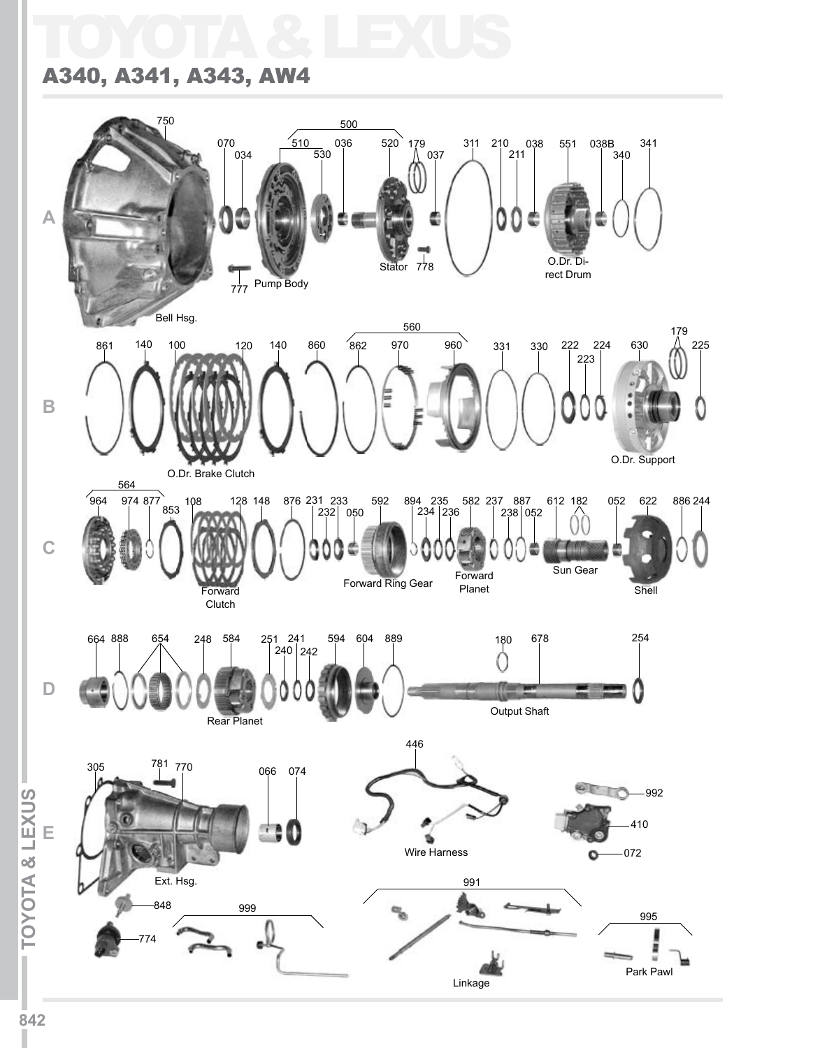## TOYOTA & LEXUS

## A340, A341, A343, AW4